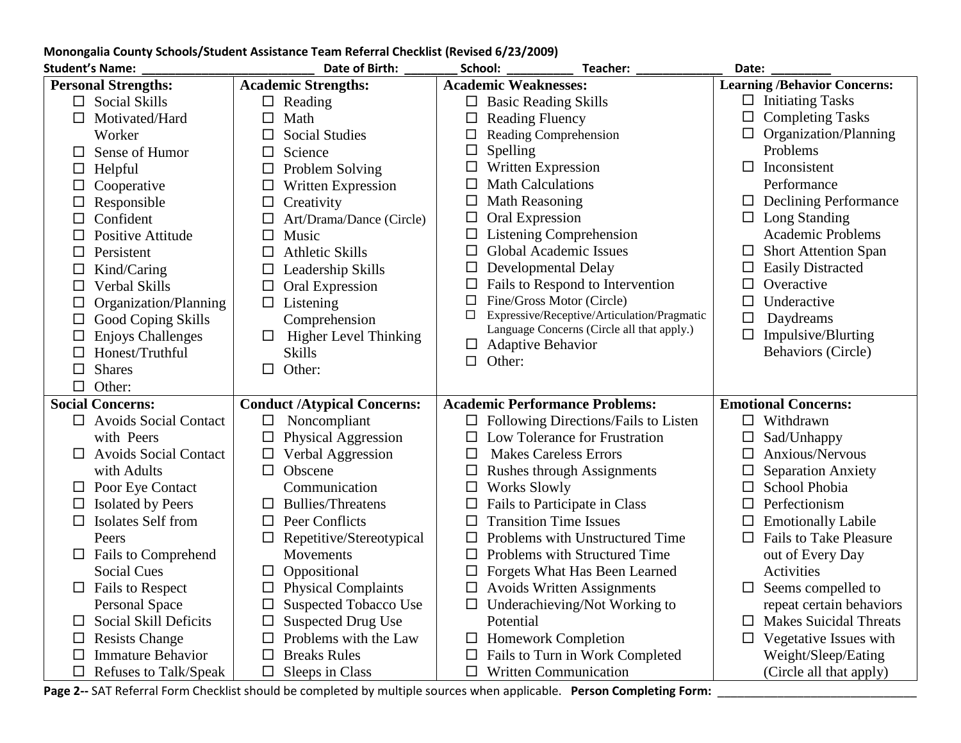| <b>Student's Name:</b>             | Date of Birth:                     | School:<br>Teacher:                                    | Date:                               |  |
|------------------------------------|------------------------------------|--------------------------------------------------------|-------------------------------------|--|
| <b>Personal Strengths:</b>         | <b>Academic Strengths:</b>         | <b>Academic Weaknesses:</b>                            | <b>Learning /Behavior Concerns:</b> |  |
| $\Box$ Social Skills               | $\Box$ Reading                     | $\Box$ Basic Reading Skills                            | $\Box$ Initiating Tasks             |  |
| $\Box$<br>Motivated/Hard           | $\Box$<br>Math                     | $\Box$<br><b>Reading Fluency</b>                       | <b>Completing Tasks</b><br>□        |  |
| Worker                             | <b>Social Studies</b>              | Reading Comprehension<br>$\Box$                        | Organization/Planning               |  |
| Sense of Humor<br>ப                | Science<br>$\Box$                  | Spelling<br>$\Box$                                     | Problems                            |  |
| Helpful<br>□                       | Problem Solving<br>$\Box$          | Written Expression<br>$\Box$                           | Inconsistent<br>$\Box$              |  |
| Cooperative<br>$\Box$              | Written Expression<br>$\Box$       | <b>Math Calculations</b><br>$\Box$                     | Performance                         |  |
| Responsible<br>$\Box$              | $\Box$<br>Creativity               | <b>Math Reasoning</b><br>$\Box$                        | <b>Declining Performance</b><br>ப   |  |
| Confident<br>$\Box$                | Art/Drama/Dance (Circle)           | Oral Expression<br>$\Box$                              | $\Box$ Long Standing                |  |
| Positive Attitude                  | $\Box$<br>Music                    | <b>Listening Comprehension</b><br>$\Box$               | Academic Problems                   |  |
| Persistent<br>$\Box$               | $\Box$<br><b>Athletic Skills</b>   | <b>Global Academic Issues</b><br>$\Box$                | <b>Short Attention Span</b><br>ப    |  |
| Kind/Caring<br>$\Box$              | Leadership Skills                  | Developmental Delay<br>$\Box$                          | <b>Easily Distracted</b><br>$\Box$  |  |
| Verbal Skills<br>$\Box$            | $\Box$<br>Oral Expression          | Fails to Respond to Intervention<br>$\Box$             | Overactive<br>$\Box$                |  |
| Organization/Planning<br>$\Box$    | $\Box$ Listening                   | Fine/Gross Motor (Circle)<br>□                         | Underactive<br>$\Box$               |  |
| Good Coping Skills<br>□            | Comprehension                      | Expressive/Receptive/Articulation/Pragmatic<br>□       | Daydreams<br>□                      |  |
| <b>Enjoys Challenges</b><br>$\Box$ | <b>Higher Level Thinking</b><br>ப  | Language Concerns (Circle all that apply.)             | $\Box$ Impulsive/Blurting           |  |
| Honest/Truthful<br>$\Box$          | <b>Skills</b>                      | <b>Adaptive Behavior</b><br>$\Box$<br>Other:<br>$\Box$ | <b>Behaviors (Circle)</b>           |  |
| <b>Shares</b><br>$\Box$            | Other:<br>$\Box$                   |                                                        |                                     |  |
| $\Box$<br>Other:                   |                                    |                                                        |                                     |  |
| <b>Social Concerns:</b>            | <b>Conduct /Atypical Concerns:</b> | <b>Academic Performance Problems:</b>                  | <b>Emotional Concerns:</b>          |  |
| $\Box$ Avoids Social Contact       | Noncompliant<br>$\Box$             | $\Box$ Following Directions/Fails to Listen            | $\Box$ Withdrawn                    |  |
| with Peers                         | Physical Aggression                | Low Tolerance for Frustration<br>□                     | Sad/Unhappy                         |  |
| <b>Avoids Social Contact</b><br>⊔  | Verbal Aggression                  | <b>Makes Careless Errors</b><br>□                      | Anxious/Nervous                     |  |
| with Adults                        | Obscene<br>□                       | <b>Rushes through Assignments</b><br>$\Box$            | <b>Separation Anxiety</b>           |  |
| $\Box$ Poor Eye Contact            | Communication                      | <b>Works Slowly</b><br>□                               | School Phobia                       |  |
| <b>Isolated by Peers</b>           | <b>Bullies/Threatens</b><br>⊔      | Fails to Participate in Class<br>$\Box$                | Perfectionism                       |  |
| Isolates Self from<br>□            | Peer Conflicts<br>$\Box$           | <b>Transition Time Issues</b><br>□                     | <b>Emotionally Labile</b>           |  |
| Peers                              | Repetitive/Stereotypical           | Problems with Unstructured Time<br>□                   | <b>Fails to Take Pleasure</b>       |  |
| <b>Fails to Comprehend</b><br>ப    | Movements                          | Problems with Structured Time<br>$\Box$                | out of Every Day                    |  |
| <b>Social Cues</b>                 | Oppositional<br>ப                  | Forgets What Has Been Learned<br>$\Box$                | Activities                          |  |
| <b>Fails to Respect</b><br>ப       | <b>Physical Complaints</b>         | <b>Avoids Written Assignments</b><br>□                 | Seems compelled to                  |  |
| <b>Personal Space</b>              | <b>Suspected Tobacco Use</b>       | Underachieving/Not Working to<br>$\Box$                | repeat certain behaviors            |  |
| Social Skill Deficits<br>ப         | <b>Suspected Drug Use</b>          | Potential                                              | <b>Makes Suicidal Threats</b>       |  |
| <b>Resists Change</b><br>⊔         | Problems with the Law              | <b>Homework Completion</b><br>ப                        | Vegetative Issues with              |  |
| <b>Immature Behavior</b>           | <b>Breaks Rules</b>                | Fails to Turn in Work Completed<br>ப                   | Weight/Sleep/Eating                 |  |
| Refuses to Talk/Speak              | Sleeps in Class<br>$\Box$          | <b>Written Communication</b><br>□                      | (Circle all that apply)             |  |

## **Monongalia County Schools/Student Assistance Team Referral Checklist (Revised 6/23/2009)**

**Page 2--** SAT Referral Form Checklist should be completed by multiple sources when applicable. **Person Completing Form:** \_\_\_\_\_\_\_\_\_\_\_\_\_\_\_\_\_\_\_\_\_\_\_\_\_\_\_\_\_\_